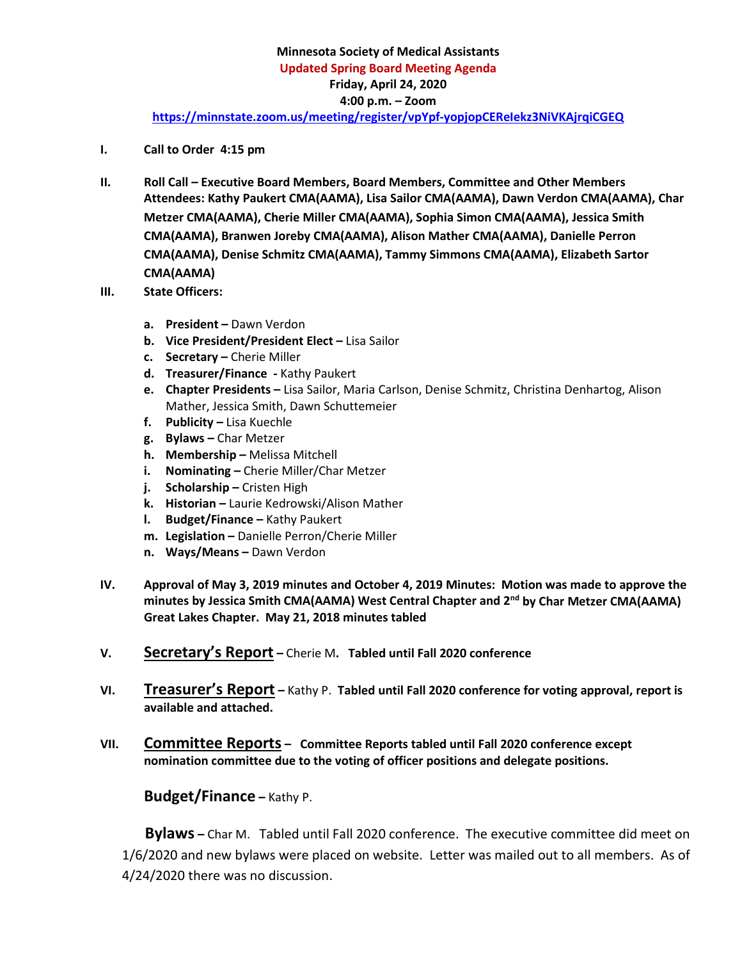- **I. Call to Order 4:15 pm**
- **II. Roll Call – Executive Board Members, Board Members, Committee and Other Members Attendees: Kathy Paukert CMA(AAMA), Lisa Sailor CMA(AAMA), Dawn Verdon CMA(AAMA), Char Metzer CMA(AAMA), Cherie Miller CMA(AAMA), Sophia Simon CMA(AAMA), Jessica Smith CMA(AAMA), Branwen Joreby CMA(AAMA), Alison Mather CMA(AAMA), Danielle Perron CMA(AAMA), Denise Schmitz CMA(AAMA), Tammy Simmons CMA(AAMA), Elizabeth Sartor CMA(AAMA)**
- **III. State Officers:**
	- **a. President –** Dawn Verdon
	- **b. Vice President/President Elect –** Lisa Sailor
	- **c. Secretary –** Cherie Miller
	- **d. Treasurer/Finance -** Kathy Paukert
	- **e. Chapter Presidents –** Lisa Sailor, Maria Carlson, Denise Schmitz, Christina Denhartog, Alison Mather, Jessica Smith, Dawn Schuttemeier
	- **f. Publicity –** Lisa Kuechle
	- **g. Bylaws –** Char Metzer
	- **h. Membership –** Melissa Mitchell
	- **i. Nominating –** Cherie Miller/Char Metzer
	- **j. Scholarship –** Cristen High
	- **k. Historian –** Laurie Kedrowski/Alison Mather
	- **l. Budget/Finance –** Kathy Paukert
	- **m. Legislation –** Danielle Perron/Cherie Miller
	- **n. Ways/Means –** Dawn Verdon
- **IV. Approval of May 3, 2019 minutes and October 4, 2019 Minutes: Motion was made to approve the minutes by Jessica Smith CMA(AAMA) West Central Chapter and 2nd by Char Metzer CMA(AAMA) Great Lakes Chapter. May 21, 2018 minutes tabled**
- **V. Secretary's Report –** Cherie M**. Tabled until Fall 2020 conference**
- **VI. Treasurer's Report –** Kathy P. **Tabled until Fall 2020 conference for voting approval, report is available and attached.**
- **VII. Committee Reports Committee Reports tabled until Fall 2020 conference except nomination committee due to the voting of officer positions and delegate positions.**

### **Budget/Finance –** Kathy P.

 **Bylaws –** Char M.Tabled until Fall 2020 conference. The executive committee did meet on 1/6/2020 and new bylaws were placed on website. Letter was mailed out to all members. As of 4/24/2020 there was no discussion.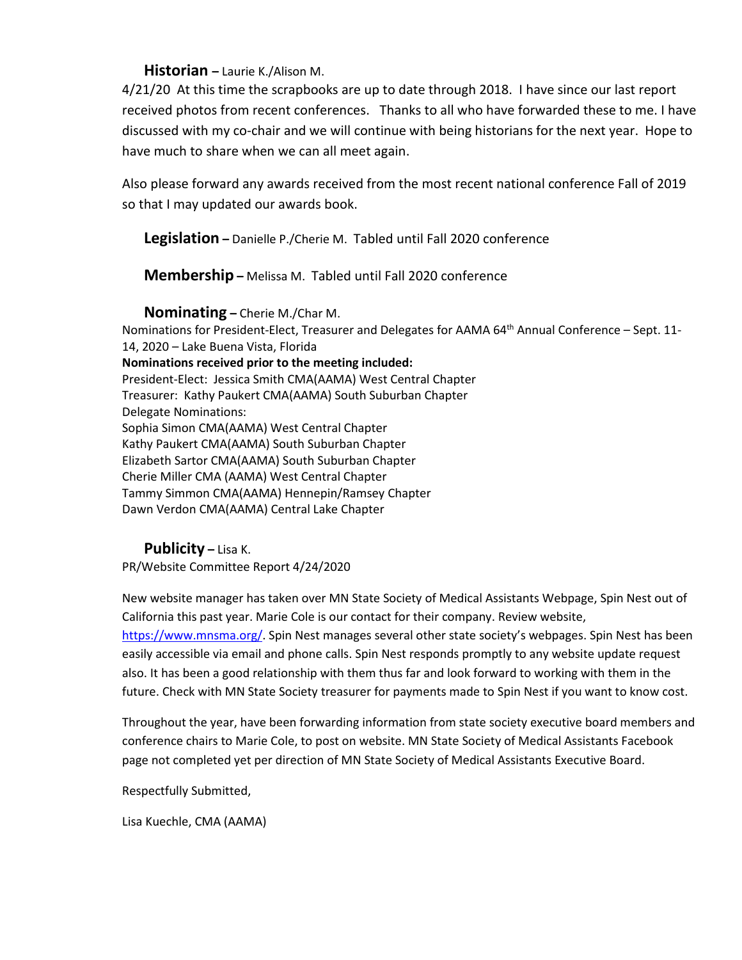#### **Historian –** Laurie K./Alison M.

4/21/20 At this time the scrapbooks are up to date through 2018. I have since our last report received photos from recent conferences. Thanks to all who have forwarded these to me. I have discussed with my co-chair and we will continue with being historians for the next year. Hope to have much to share when we can all meet again.

Also please forward any awards received from the most recent national conference Fall of 2019 so that I may updated our awards book.

**Legislation –** Danielle P./Cherie M. Tabled until Fall 2020 conference

**Membership –** Melissa M. Tabled until Fall 2020 conference

**Nominating –** Cherie M./Char M.

Nominations for President-Elect, Treasurer and Delegates for AAMA 64th Annual Conference – Sept. 11- 14, 2020 – Lake Buena Vista, Florida **Nominations received prior to the meeting included:** President-Elect: Jessica Smith CMA(AAMA) West Central Chapter Treasurer: Kathy Paukert CMA(AAMA) South Suburban Chapter Delegate Nominations: Sophia Simon CMA(AAMA) West Central Chapter Kathy Paukert CMA(AAMA) South Suburban Chapter Elizabeth Sartor CMA(AAMA) South Suburban Chapter Cherie Miller CMA (AAMA) West Central Chapter Tammy Simmon CMA(AAMA) Hennepin/Ramsey Chapter Dawn Verdon CMA(AAMA) Central Lake Chapter

**Publicity –** Lisa K.

PR/Website Committee Report 4/24/2020

New website manager has taken over MN State Society of Medical Assistants Webpage, Spin Nest out of California this past year. Marie Cole is our contact for their company. Review website, [https://www.mnsma.org/.](https://www.mnsma.org/) Spin Nest manages several other state society's webpages. Spin Nest has been easily accessible via email and phone calls. Spin Nest responds promptly to any website update request also. It has been a good relationship with them thus far and look forward to working with them in the future. Check with MN State Society treasurer for payments made to Spin Nest if you want to know cost.

Throughout the year, have been forwarding information from state society executive board members and conference chairs to Marie Cole, to post on website. MN State Society of Medical Assistants Facebook page not completed yet per direction of MN State Society of Medical Assistants Executive Board.

Respectfully Submitted,

Lisa Kuechle, CMA (AAMA)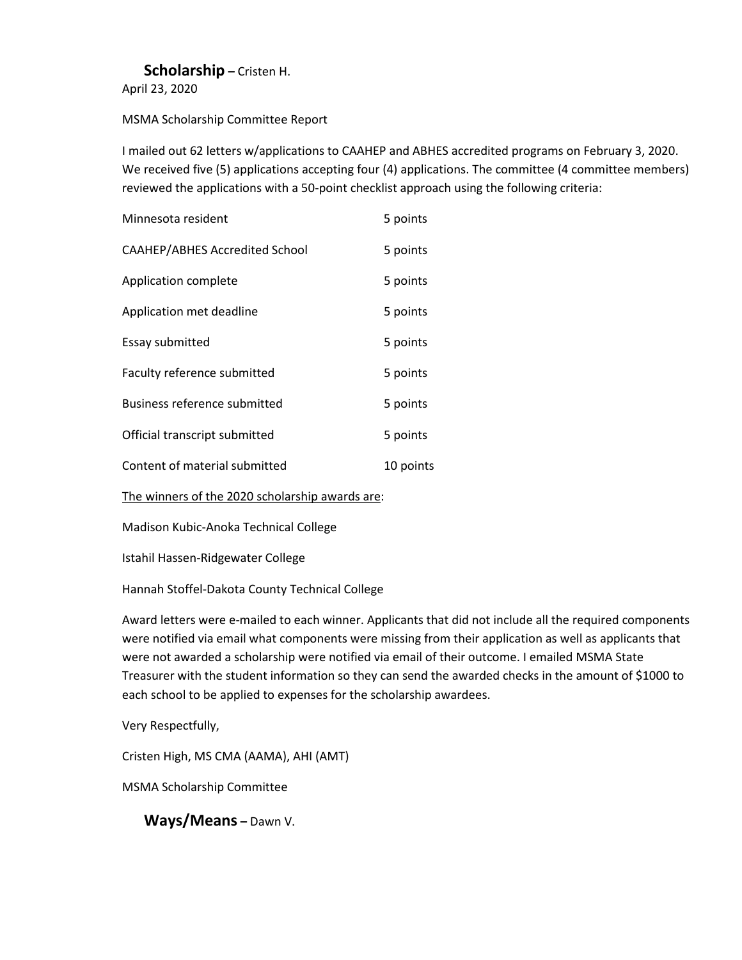### **Scholarship –** Cristen H.

April 23, 2020

MSMA Scholarship Committee Report

I mailed out 62 letters w/applications to CAAHEP and ABHES accredited programs on February 3, 2020. We received five (5) applications accepting four (4) applications. The committee (4 committee members) reviewed the applications with a 50-point checklist approach using the following criteria:

| Minnesota resident                  | 5 points  |
|-------------------------------------|-----------|
| CAAHEP/ABHES Accredited School      | 5 points  |
| Application complete                | 5 points  |
| Application met deadline            | 5 points  |
| Essay submitted                     | 5 points  |
| Faculty reference submitted         | 5 points  |
| <b>Business reference submitted</b> | 5 points  |
| Official transcript submitted       | 5 points  |
| Content of material submitted       | 10 points |

The winners of the 2020 scholarship awards are:

Madison Kubic-Anoka Technical College

Istahil Hassen-Ridgewater College

Hannah Stoffel-Dakota County Technical College

Award letters were e-mailed to each winner. Applicants that did not include all the required components were notified via email what components were missing from their application as well as applicants that were not awarded a scholarship were notified via email of their outcome. I emailed MSMA State Treasurer with the student information so they can send the awarded checks in the amount of \$1000 to each school to be applied to expenses for the scholarship awardees.

Very Respectfully,

Cristen High, MS CMA (AAMA), AHI (AMT)

MSMA Scholarship Committee

**Ways/Means –** Dawn V.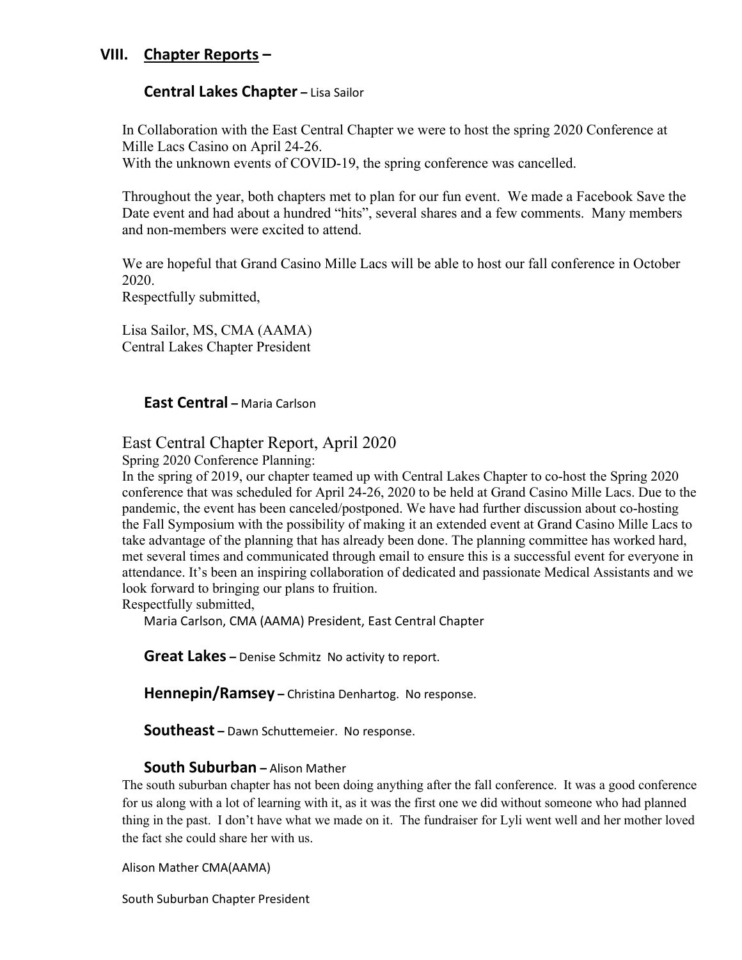## **VIII. Chapter Reports –**

#### **Central Lakes Chapter –** Lisa Sailor

In Collaboration with the East Central Chapter we were to host the spring 2020 Conference at Mille Lacs Casino on April 24-26. With the unknown events of COVID-19, the spring conference was cancelled.

Throughout the year, both chapters met to plan for our fun event. We made a Facebook Save the Date event and had about a hundred "hits", several shares and a few comments. Many members and non-members were excited to attend.

We are hopeful that Grand Casino Mille Lacs will be able to host our fall conference in October 2020.

Respectfully submitted,

Lisa Sailor, MS, CMA (AAMA) Central Lakes Chapter President

**East Central –** Maria Carlson

## East Central Chapter Report, April 2020

Spring 2020 Conference Planning:

In the spring of 2019, our chapter teamed up with Central Lakes Chapter to co-host the Spring 2020 conference that was scheduled for April 24-26, 2020 to be held at Grand Casino Mille Lacs. Due to the pandemic, the event has been canceled/postponed. We have had further discussion about co-hosting the Fall Symposium with the possibility of making it an extended event at Grand Casino Mille Lacs to take advantage of the planning that has already been done. The planning committee has worked hard, met several times and communicated through email to ensure this is a successful event for everyone in attendance. It's been an inspiring collaboration of dedicated and passionate Medical Assistants and we look forward to bringing our plans to fruition.

Respectfully submitted,

Maria Carlson, CMA (AAMA) President, East Central Chapter

**Great Lakes –** Denise Schmitz No activity to report.

**Hennepin/Ramsey –** Christina Denhartog. No response.

**Southeast –** Dawn Schuttemeier. No response.

#### **South Suburban –** Alison Mather

The south suburban chapter has not been doing anything after the fall conference. It was a good conference for us along with a lot of learning with it, as it was the first one we did without someone who had planned thing in the past. I don't have what we made on it. The fundraiser for Lyli went well and her mother loved the fact she could share her with us.

Alison Mather CMA(AAMA)

South Suburban Chapter President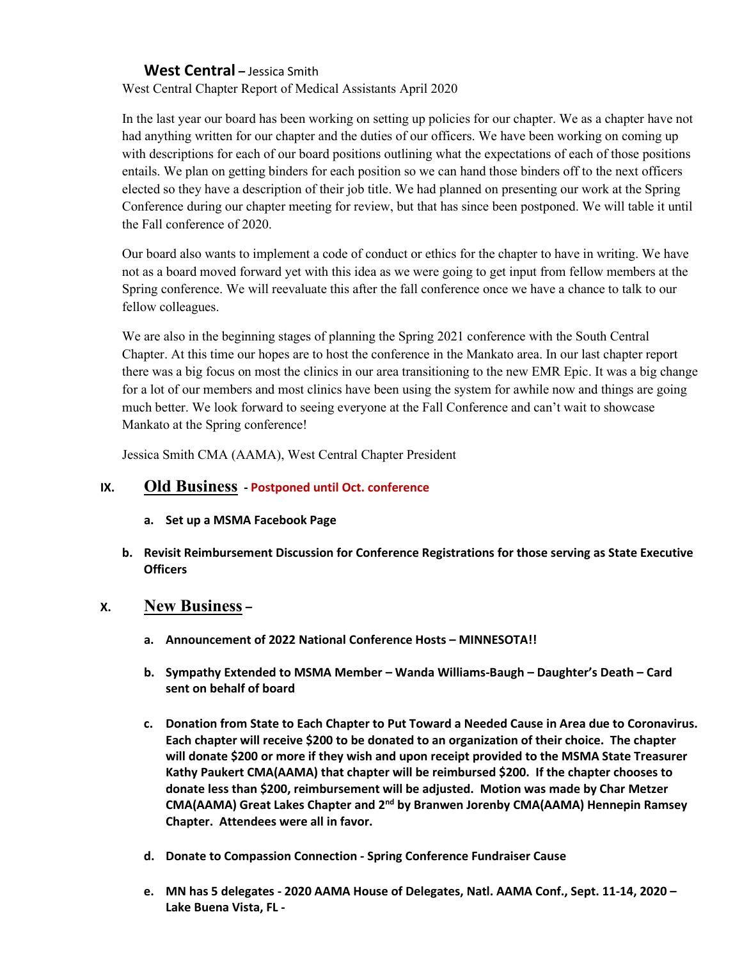#### **West Central –** Jessica Smith

West Central Chapter Report of Medical Assistants April 2020

In the last year our board has been working on setting up policies for our chapter. We as a chapter have not had anything written for our chapter and the duties of our officers. We have been working on coming up with descriptions for each of our board positions outlining what the expectations of each of those positions entails. We plan on getting binders for each position so we can hand those binders off to the next officers elected so they have a description of their job title. We had planned on presenting our work at the Spring Conference during our chapter meeting for review, but that has since been postponed. We will table it until the Fall conference of 2020.

Our board also wants to implement a code of conduct or ethics for the chapter to have in writing. We have not as a board moved forward yet with this idea as we were going to get input from fellow members at the Spring conference. We will reevaluate this after the fall conference once we have a chance to talk to our fellow colleagues.

We are also in the beginning stages of planning the Spring 2021 conference with the South Central Chapter. At this time our hopes are to host the conference in the Mankato area. In our last chapter report there was a big focus on most the clinics in our area transitioning to the new EMR Epic. It was a big change for a lot of our members and most clinics have been using the system for awhile now and things are going much better. We look forward to seeing everyone at the Fall Conference and can't wait to showcase Mankato at the Spring conference!

Jessica Smith CMA (AAMA), West Central Chapter President

### **IX. Old Business - Postponed until Oct. conference**

- **a. Set up a MSMA Facebook Page**
- **b. Revisit Reimbursement Discussion for Conference Registrations for those serving as State Executive Officers**

### **X. New Business –**

- **a. Announcement of 2022 National Conference Hosts – MINNESOTA!!**
- **b. Sympathy Extended to MSMA Member – Wanda Williams-Baugh – Daughter's Death – Card sent on behalf of board**
- **c. Donation from State to Each Chapter to Put Toward a Needed Cause in Area due to Coronavirus. Each chapter will receive \$200 to be donated to an organization of their choice. The chapter will donate \$200 or more if they wish and upon receipt provided to the MSMA State Treasurer Kathy Paukert CMA(AAMA) that chapter will be reimbursed \$200. If the chapter chooses to donate less than \$200, reimbursement will be adjusted. Motion was made by Char Metzer CMA(AAMA) Great Lakes Chapter and 2nd by Branwen Jorenby CMA(AAMA) Hennepin Ramsey Chapter. Attendees were all in favor.**
- **d. Donate to Compassion Connection - Spring Conference Fundraiser Cause**
- **e. MN has 5 delegates - 2020 AAMA House of Delegates, Natl. AAMA Conf., Sept. 11-14, 2020 – Lake Buena Vista, FL -**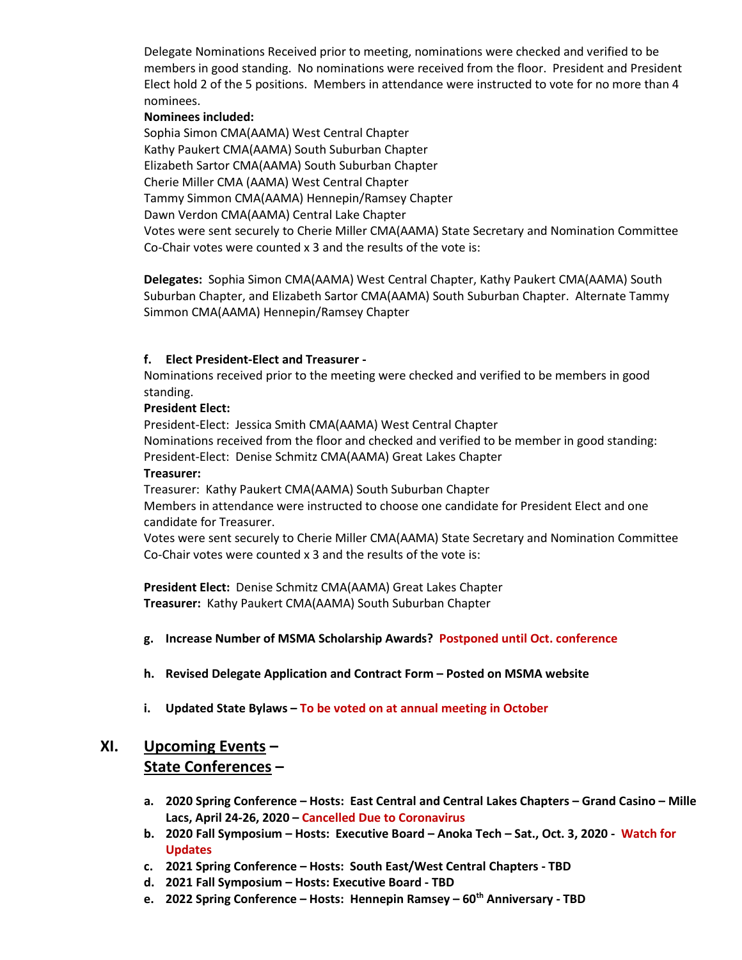Delegate Nominations Received prior to meeting, nominations were checked and verified to be members in good standing. No nominations were received from the floor. President and President Elect hold 2 of the 5 positions. Members in attendance were instructed to vote for no more than 4 nominees.

#### **Nominees included:**

Sophia Simon CMA(AAMA) West Central Chapter Kathy Paukert CMA(AAMA) South Suburban Chapter Elizabeth Sartor CMA(AAMA) South Suburban Chapter Cherie Miller CMA (AAMA) West Central Chapter Tammy Simmon CMA(AAMA) Hennepin/Ramsey Chapter Dawn Verdon CMA(AAMA) Central Lake Chapter Votes were sent securely to Cherie Miller CMA(AAMA) State Secretary and Nomination Committee Co-Chair votes were counted x 3 and the results of the vote is:

**Delegates:** Sophia Simon CMA(AAMA) West Central Chapter, Kathy Paukert CMA(AAMA) South Suburban Chapter, and Elizabeth Sartor CMA(AAMA) South Suburban Chapter. Alternate Tammy Simmon CMA(AAMA) Hennepin/Ramsey Chapter

#### **f. Elect President-Elect and Treasurer -**

Nominations received prior to the meeting were checked and verified to be members in good standing.

#### **President Elect:**

President-Elect: Jessica Smith CMA(AAMA) West Central Chapter Nominations received from the floor and checked and verified to be member in good standing: President-Elect: Denise Schmitz CMA(AAMA) Great Lakes Chapter

#### **Treasurer:**

Treasurer: Kathy Paukert CMA(AAMA) South Suburban Chapter

Members in attendance were instructed to choose one candidate for President Elect and one candidate for Treasurer.

Votes were sent securely to Cherie Miller CMA(AAMA) State Secretary and Nomination Committee Co-Chair votes were counted x 3 and the results of the vote is:

**President Elect:** Denise Schmitz CMA(AAMA) Great Lakes Chapter **Treasurer:** Kathy Paukert CMA(AAMA) South Suburban Chapter

- **g. Increase Number of MSMA Scholarship Awards? Postponed until Oct. conference**
- **h. Revised Delegate Application and Contract Form – Posted on MSMA website**
- **i. Updated State Bylaws – To be voted on at annual meeting in October**

## **XI. Upcoming Events – State Conferences –**

- **a. 2020 Spring Conference – Hosts: East Central and Central Lakes Chapters – Grand Casino – Mille Lacs, April 24-26, 2020 – Cancelled Due to Coronavirus**
- **b. 2020 Fall Symposium – Hosts: Executive Board – Anoka Tech – Sat., Oct. 3, 2020 Watch for Updates**
- **c. 2021 Spring Conference – Hosts: South East/West Central Chapters - TBD**
- **d. 2021 Fall Symposium – Hosts: Executive Board - TBD**
- **e. 2022 Spring Conference – Hosts: Hennepin Ramsey – 60th Anniversary - TBD**